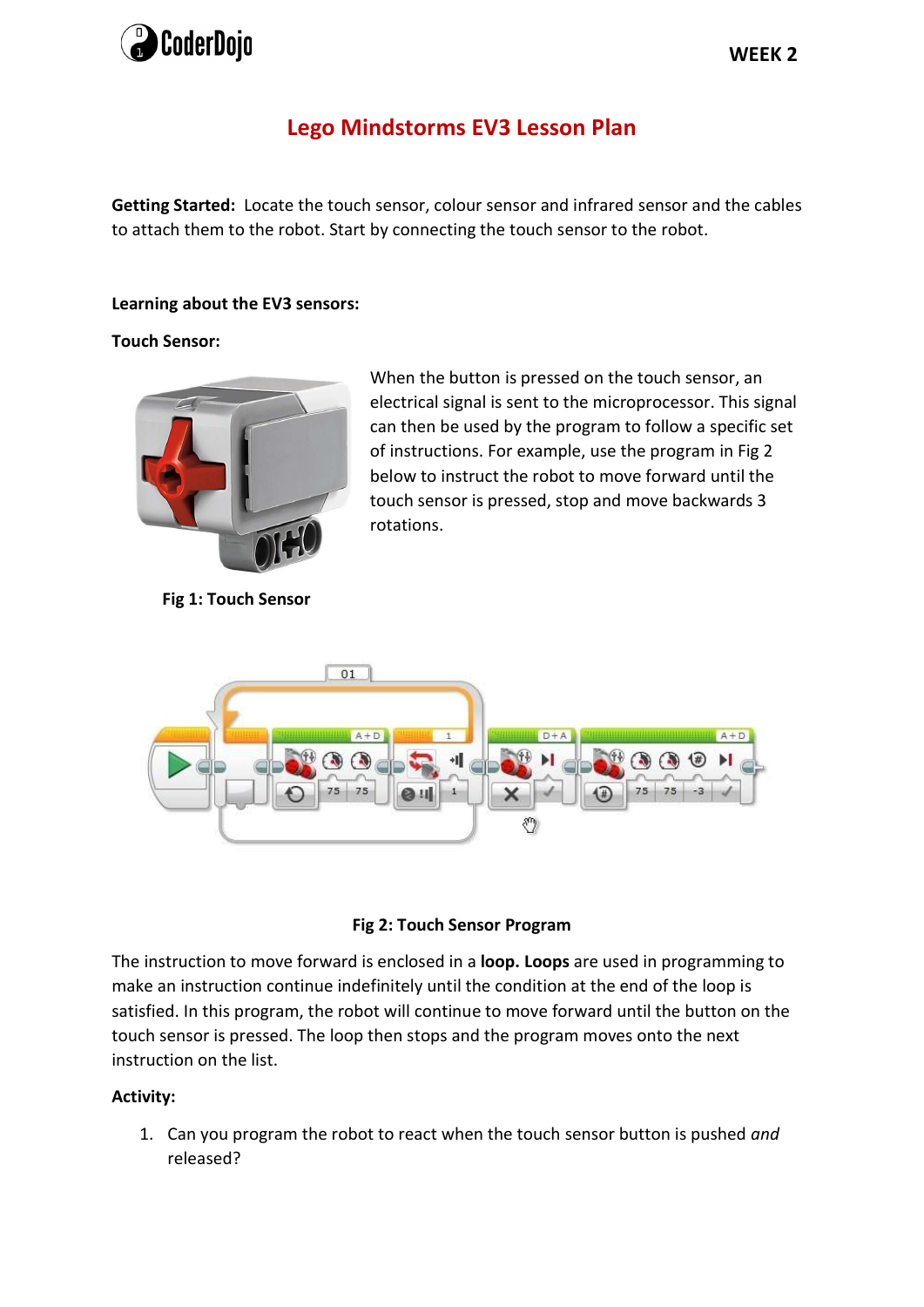

# Lego Mindstorms EV3 Lesson Plan

Getting Started: Locate the touch sensor, colour sensor and infrared sensor and the cables to attach them to the robot. Start by connecting the touch sensor to the robot.

## Learning about the EV3 sensors:

## Touch Sensor:



Fig 1: Touch Sensor

When the button is pressed on the touch sensor, an electrical signal is sent to the microprocessor. This signal can then be used by the program to follow a specific set of instructions. For example, use the program in Fig 2 below to instruct the robot to move forward until the touch sensor is pressed, stop and move backwards 3 rotations.





The instruction to move forward is enclosed in a **loop. Loops** are used in programming to make an instruction continue indefinitely until the condition at the end of the loop is satisfied. In this program, the robot will continue to move forward until the button on the touch sensor is pressed. The loop then stops and the program moves onto the next instruction on the list.

# Activity:

1. Can you program the robot to react when the touch sensor button is pushed and released?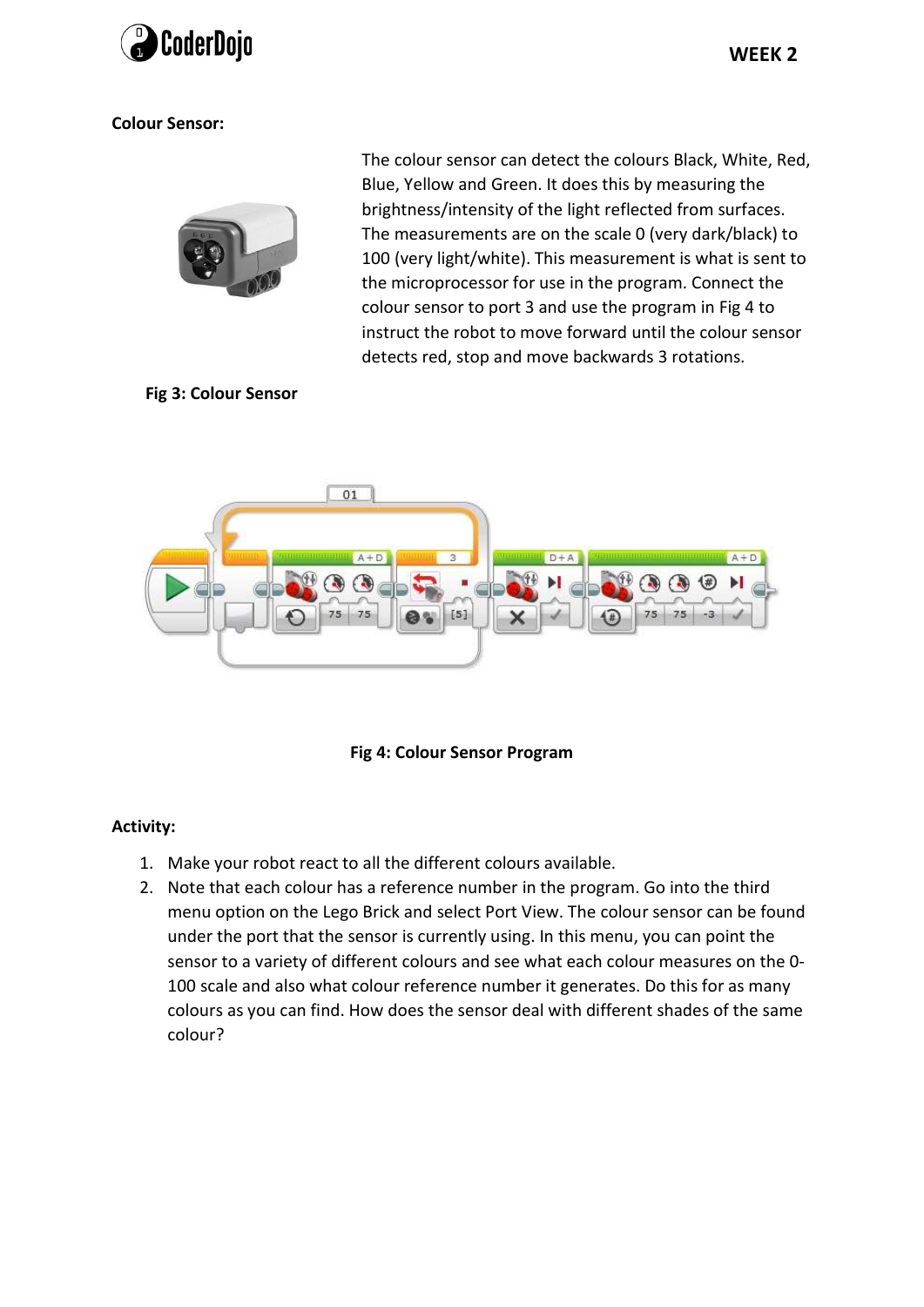

## Colour Sensor:



The colour sensor can detect the colours Black, White, Red, Blue, Yellow and Green. It does this by measuring the brightness/intensity of the light reflected from surfaces. The measurements are on the scale 0 (very dark/black) to 100 (very light/white). This measurement is what is sent to the microprocessor for use in the program. Connect the colour sensor to port 3 and use the program in Fig 4 to instruct the robot to move forward until the colour sensor detects red, stop and move backwards 3 rotations.

## Fig 3: Colour Sensor



Fig 4: Colour Sensor Program

#### Activity:

- 1. Make your robot react to all the different colours available.
- 2. Note that each colour has a reference number in the program. Go into the third menu option on the Lego Brick and select Port View. The colour sensor can be found under the port that the sensor is currently using. In this menu, you can point the sensor to a variety of different colours and see what each colour measures on the 0- 100 scale and also what colour reference number it generates. Do this for as many colours as you can find. How does the sensor deal with different shades of the same colour?